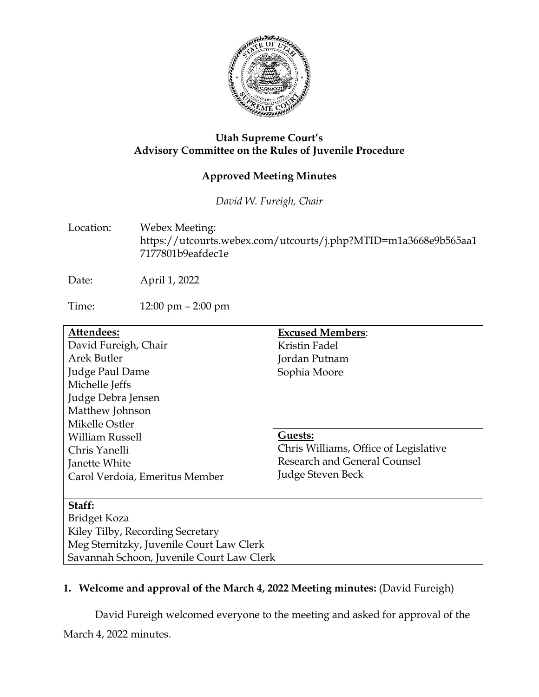

### **Utah Supreme Court's Advisory Committee on the Rules of Juvenile Procedure**

# **Approved Meeting Minutes**

*David W. Fureigh, Chair*

Location: Webex Meeting: https://utcourts.webex.com/utcourts/j.php?MTID=m1a3668e9b565aa1 7177801b9eafdec1e

Date: April 1, 2022

Time: 12:00 pm – 2:00 pm

| Attendees:                                | <b>Excused Members:</b>               |
|-------------------------------------------|---------------------------------------|
| David Fureigh, Chair                      | Kristin Fadel                         |
| Arek Butler                               | Jordan Putnam                         |
| Judge Paul Dame                           | Sophia Moore                          |
| Michelle Jeffs                            |                                       |
| Judge Debra Jensen                        |                                       |
| Matthew Johnson                           |                                       |
| Mikelle Ostler                            |                                       |
| <b>William Russell</b>                    | Guests:                               |
| Chris Yanelli                             | Chris Williams, Office of Legislative |
| Janette White                             | Research and General Counsel          |
| Carol Verdoia, Emeritus Member            | Judge Steven Beck                     |
|                                           |                                       |
| Staff:                                    |                                       |
| Bridget Koza                              |                                       |
| Kiley Tilby, Recording Secretary          |                                       |
| Meg Sternitzky, Juvenile Court Law Clerk  |                                       |
| Savannah Schoon, Juvenile Court Law Clerk |                                       |

## **1. Welcome and approval of the March 4, 2022 Meeting minutes:** (David Fureigh)

David Fureigh welcomed everyone to the meeting and asked for approval of the

March 4, 2022 minutes.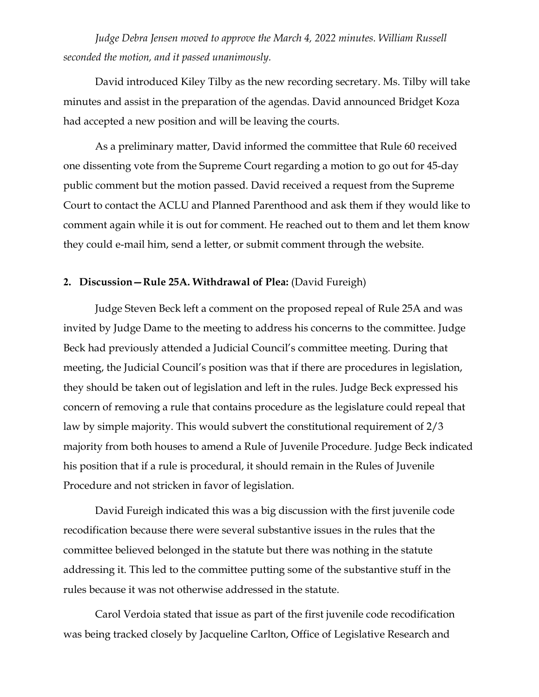*Judge Debra Jensen moved to approve the March 4, 2022 minutes. William Russell seconded the motion, and it passed unanimously.* 

David introduced Kiley Tilby as the new recording secretary. Ms. Tilby will take minutes and assist in the preparation of the agendas. David announced Bridget Koza had accepted a new position and will be leaving the courts.

As a preliminary matter, David informed the committee that Rule 60 received one dissenting vote from the Supreme Court regarding a motion to go out for 45-day public comment but the motion passed. David received a request from the Supreme Court to contact the ACLU and Planned Parenthood and ask them if they would like to comment again while it is out for comment. He reached out to them and let them know they could e-mail him, send a letter, or submit comment through the website.

#### **2. Discussion—Rule 25A. Withdrawal of Plea:** (David Fureigh)

Judge Steven Beck left a comment on the proposed repeal of Rule 25A and was invited by Judge Dame to the meeting to address his concerns to the committee. Judge Beck had previously attended a Judicial Council's committee meeting. During that meeting, the Judicial Council's position was that if there are procedures in legislation, they should be taken out of legislation and left in the rules. Judge Beck expressed his concern of removing a rule that contains procedure as the legislature could repeal that law by simple majority. This would subvert the constitutional requirement of 2/3 majority from both houses to amend a Rule of Juvenile Procedure. Judge Beck indicated his position that if a rule is procedural, it should remain in the Rules of Juvenile Procedure and not stricken in favor of legislation.

David Fureigh indicated this was a big discussion with the first juvenile code recodification because there were several substantive issues in the rules that the committee believed belonged in the statute but there was nothing in the statute addressing it. This led to the committee putting some of the substantive stuff in the rules because it was not otherwise addressed in the statute.

Carol Verdoia stated that issue as part of the first juvenile code recodification was being tracked closely by Jacqueline Carlton, Office of Legislative Research and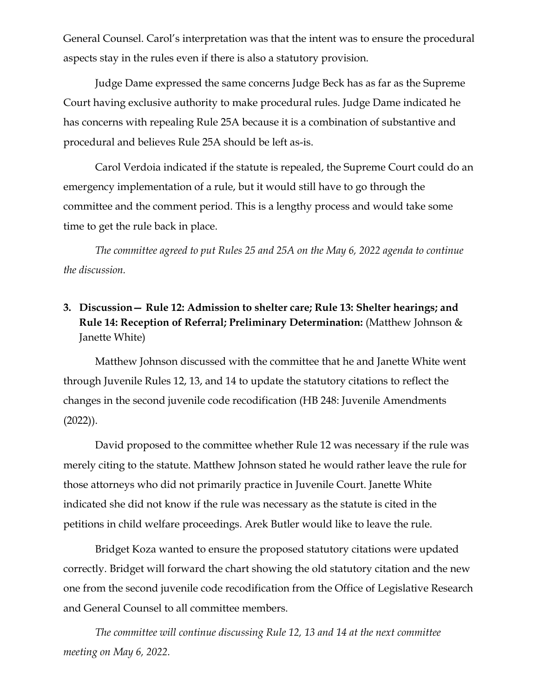General Counsel. Carol's interpretation was that the intent was to ensure the procedural aspects stay in the rules even if there is also a statutory provision.

Judge Dame expressed the same concerns Judge Beck has as far as the Supreme Court having exclusive authority to make procedural rules. Judge Dame indicated he has concerns with repealing Rule 25A because it is a combination of substantive and procedural and believes Rule 25A should be left as-is.

Carol Verdoia indicated if the statute is repealed, the Supreme Court could do an emergency implementation of a rule, but it would still have to go through the committee and the comment period. This is a lengthy process and would take some time to get the rule back in place.

*The committee agreed to put Rules 25 and 25A on the May 6, 2022 agenda to continue the discussion.* 

# **3. Discussion— Rule 12: Admission to shelter care; Rule 13: Shelter hearings; and Rule 14: Reception of Referral; Preliminary Determination:** (Matthew Johnson & Janette White)

Matthew Johnson discussed with the committee that he and Janette White went through Juvenile Rules 12, 13, and 14 to update the statutory citations to reflect the changes in the second juvenile code recodification (HB 248: Juvenile Amendments (2022)).

David proposed to the committee whether Rule 12 was necessary if the rule was merely citing to the statute. Matthew Johnson stated he would rather leave the rule for those attorneys who did not primarily practice in Juvenile Court. Janette White indicated she did not know if the rule was necessary as the statute is cited in the petitions in child welfare proceedings. Arek Butler would like to leave the rule.

Bridget Koza wanted to ensure the proposed statutory citations were updated correctly. Bridget will forward the chart showing the old statutory citation and the new one from the second juvenile code recodification from the Office of Legislative Research and General Counsel to all committee members.

*The committee will continue discussing Rule 12, 13 and 14 at the next committee meeting on May 6, 2022.*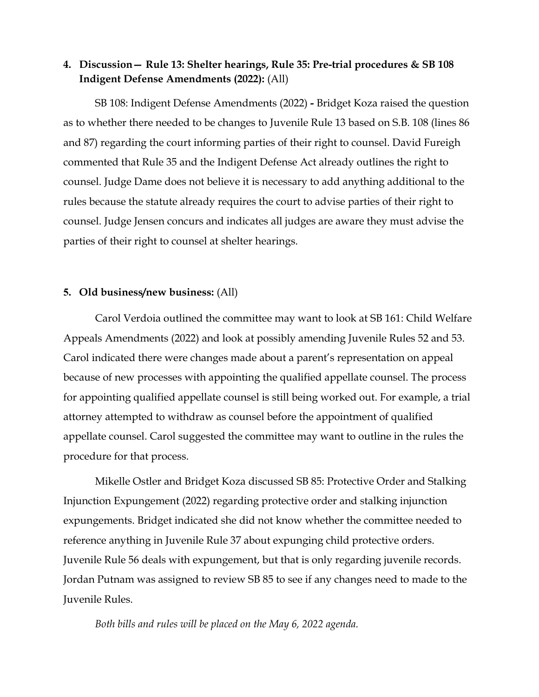## **4. Discussion— Rule 13: Shelter hearings, Rule 35: Pre-trial procedures & SB 108 Indigent Defense Amendments (2022):** (All)

SB 108: Indigent Defense Amendments (2022) **-** Bridget Koza raised the question as to whether there needed to be changes to Juvenile Rule 13 based on S.B. 108 (lines 86 and 87) regarding the court informing parties of their right to counsel. David Fureigh commented that Rule 35 and the Indigent Defense Act already outlines the right to counsel. Judge Dame does not believe it is necessary to add anything additional to the rules because the statute already requires the court to advise parties of their right to counsel. Judge Jensen concurs and indicates all judges are aware they must advise the parties of their right to counsel at shelter hearings.

#### **5. Old business/new business:** (All)

Carol Verdoia outlined the committee may want to look at SB 161: Child Welfare Appeals Amendments (2022) and look at possibly amending Juvenile Rules 52 and 53. Carol indicated there were changes made about a parent's representation on appeal because of new processes with appointing the qualified appellate counsel. The process for appointing qualified appellate counsel is still being worked out. For example, a trial attorney attempted to withdraw as counsel before the appointment of qualified appellate counsel. Carol suggested the committee may want to outline in the rules the procedure for that process.

Mikelle Ostler and Bridget Koza discussed SB 85: Protective Order and Stalking Injunction Expungement (2022) regarding protective order and stalking injunction expungements. Bridget indicated she did not know whether the committee needed to reference anything in Juvenile Rule 37 about expunging child protective orders. Juvenile Rule 56 deals with expungement, but that is only regarding juvenile records. Jordan Putnam was assigned to review SB 85 to see if any changes need to made to the Juvenile Rules.

*Both bills and rules will be placed on the May 6, 2022 agenda.*